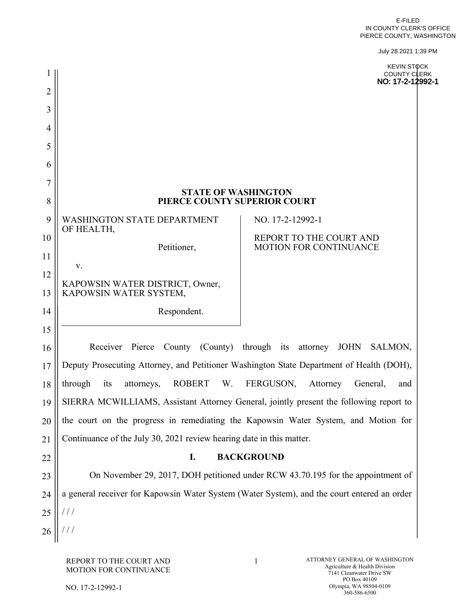July 28 2021 1:39 PM

|                | July 28 2021 1:39 PM                                                               |                                                                                             |  |  |
|----------------|------------------------------------------------------------------------------------|---------------------------------------------------------------------------------------------|--|--|
|                |                                                                                    | <b>KEVIN STOCK</b><br><b>COUNTY CLERK</b><br>NO: 17-2-12992-1                               |  |  |
| $\overline{2}$ |                                                                                    |                                                                                             |  |  |
| 3              |                                                                                    |                                                                                             |  |  |
| 4              |                                                                                    |                                                                                             |  |  |
| 5              |                                                                                    |                                                                                             |  |  |
| 6              |                                                                                    |                                                                                             |  |  |
| $\overline{7}$ |                                                                                    |                                                                                             |  |  |
| 8              | <b>STATE OF WASHINGTON</b><br>PIERCE COUNTY SUPERIOR COURT                         |                                                                                             |  |  |
| 9              | <b>WASHINGTON STATE DEPARTMENT</b><br>NO. 17-2-12992-1<br>OF HEALTH,               |                                                                                             |  |  |
| 10             | Petitioner,                                                                        | REPORT TO THE COURT AND<br><b>MOTION FOR CONTINUANCE</b>                                    |  |  |
| 11             |                                                                                    |                                                                                             |  |  |
| 12             | V.                                                                                 |                                                                                             |  |  |
| 13             | KAPOWSIN WATER DISTRICT, Owner,<br>KAPOWSIN WATER SYSTEM,                          |                                                                                             |  |  |
| 14             | Respondent.                                                                        |                                                                                             |  |  |
| 15             |                                                                                    |                                                                                             |  |  |
| 16             | Receiver Pierce County (County) through its attorney<br><b>JOHN</b><br>SALMON,     |                                                                                             |  |  |
| 17             |                                                                                    | Deputy Prosecuting Attorney, and Petitioner Washington State Department of Health (DOH),    |  |  |
| 18             | through<br><b>ROBERT</b><br>W.<br>FERGUSON,<br>its<br>attorneys,                   | Attorney<br>General,<br>and                                                                 |  |  |
| 19             |                                                                                    | SIERRA MCWILLIAMS, Assistant Attorney General, jointly present the following report to      |  |  |
| 20             | the court on the progress in remediating the Kapowsin Water System, and Motion for |                                                                                             |  |  |
| 21             | Continuance of the July 30, 2021 review hearing date in this matter.               |                                                                                             |  |  |
| 22             | <b>BACKGROUND</b><br>I.                                                            |                                                                                             |  |  |
| 23             | On November 29, 2017, DOH petitioned under RCW 43.70.195 for the appointment of    |                                                                                             |  |  |
| 24             |                                                                                    | a general receiver for Kapowsin Water System (Water System), and the court entered an order |  |  |
| 25             | $\frac{1}{2}$                                                                      |                                                                                             |  |  |
| 26             |                                                                                    |                                                                                             |  |  |
|                |                                                                                    |                                                                                             |  |  |

NO. 17-2-12992-1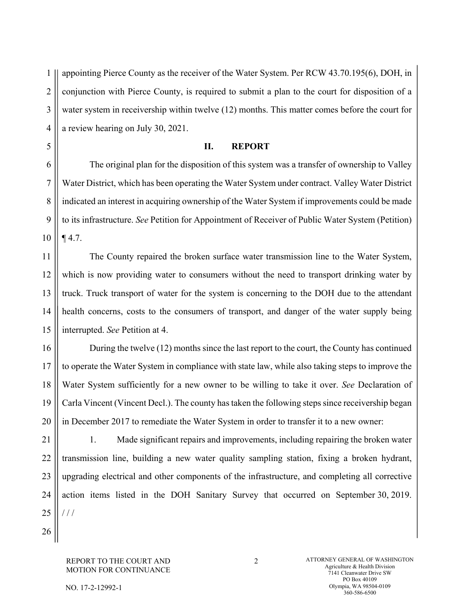1 2 3 4 appointing Pierce County as the receiver of the Water System. Per RCW 43.70.195(6), DOH, in conjunction with Pierce County, is required to submit a plan to the court for disposition of a water system in receivership within twelve (12) months. This matter comes before the court for a review hearing on July 30, 2021.

## **II. REPORT**

6 7 8 9 10 The original plan for the disposition of this system was a transfer of ownership to Valley Water District, which has been operating the Water System under contract. Valley Water District indicated an interest in acquiring ownership of the Water System if improvements could be made to its infrastructure. *See* Petition for Appointment of Receiver of Public Water System (Petition) ¶ 4.7.

11 12 13 14 15 The County repaired the broken surface water transmission line to the Water System, which is now providing water to consumers without the need to transport drinking water by truck. Truck transport of water for the system is concerning to the DOH due to the attendant health concerns, costs to the consumers of transport, and danger of the water supply being interrupted. *See* Petition at 4.

16 17 18 19 20 During the twelve (12) months since the last report to the court, the County has continued to operate the Water System in compliance with state law, while also taking steps to improve the Water System sufficiently for a new owner to be willing to take it over. *See* Declaration of Carla Vincent (Vincent Decl.). The county has taken the following steps since receivership began in December 2017 to remediate the Water System in order to transfer it to a new owner:

21 22 23 24 25 1. Made significant repairs and improvements, including repairing the broken water transmission line, building a new water quality sampling station, fixing a broken hydrant, upgrading electrical and other components of the infrastructure, and completing all corrective action items listed in the DOH Sanitary Survey that occurred on September 30, 2019. / / /

26

5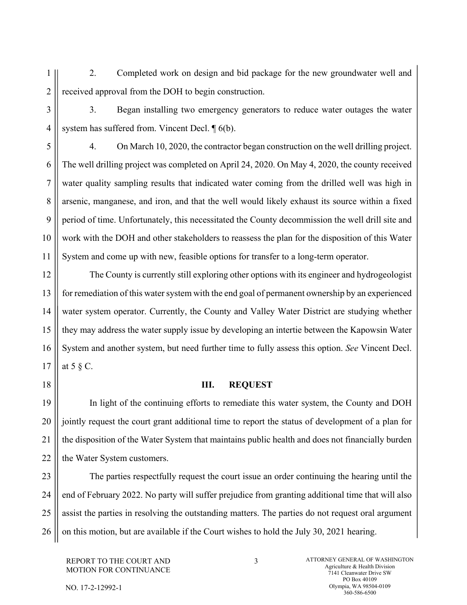1 2 2. Completed work on design and bid package for the new groundwater well and received approval from the DOH to begin construction.

3

4

6

7

8

9

10

11

3. Began installing two emergency generators to reduce water outages the water system has suffered from. Vincent Decl. ¶ 6(b).

5

4. On March 10, 2020, the contractor began construction on the well drilling project. The well drilling project was completed on April 24, 2020. On May 4, 2020, the county received water quality sampling results that indicated water coming from the drilled well was high in arsenic, manganese, and iron, and that the well would likely exhaust its source within a fixed period of time. Unfortunately, this necessitated the County decommission the well drill site and work with the DOH and other stakeholders to reassess the plan for the disposition of this Water System and come up with new, feasible options for transfer to a long-term operator.

12 13 14 15 16 17 The County is currently still exploring other options with its engineer and hydrogeologist for remediation of this water system with the end goal of permanent ownership by an experienced water system operator. Currently, the County and Valley Water District are studying whether they may address the water supply issue by developing an intertie between the Kapowsin Water System and another system, but need further time to fully assess this option. *See* Vincent Decl. at 5 § C.

18

## **III. REQUEST**

19 20 21 22 In light of the continuing efforts to remediate this water system, the County and DOH jointly request the court grant additional time to report the status of development of a plan for the disposition of the Water System that maintains public health and does not financially burden the Water System customers.

23 24 25 26 The parties respectfully request the court issue an order continuing the hearing until the end of February 2022. No party will suffer prejudice from granting additional time that will also assist the parties in resolving the outstanding matters. The parties do not request oral argument on this motion, but are available if the Court wishes to hold the July 30, 2021 hearing.